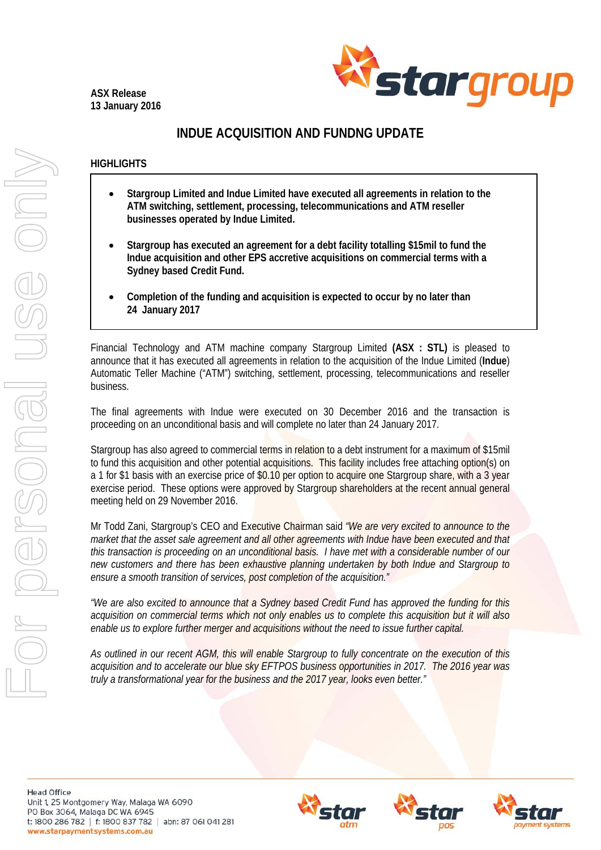**ASX Release 13 January 2016** 



## **INDUE ACQUISITION AND FUNDNG UPDATE**

## **HIGHLIGHTS**

- **Stargroup Limited and Indue Limited have executed all agreements in relation to the ATM switching, settlement, processing, telecommunications and ATM reseller businesses operated by Indue Limited.**
- **Stargroup has executed an agreement for a debt facility totalling \$15mil to fund the Indue acquisition and other EPS accretive acquisitions on commercial terms with a Sydney based Credit Fund.**
- **Completion of the funding and acquisition is expected to occur by no later than 24 January 2017**

Financial Technology and ATM machine company Stargroup Limited **(ASX : STL)** is pleased to announce that it has executed all agreements in relation to the acquisition of the Indue Limited (**Indue**) Automatic Teller Machine ("ATM") switching, settlement, processing, telecommunications and reseller business.

The final agreements with Indue were executed on 30 December 2016 and the transaction is proceeding on an unconditional basis and will complete no later than 24 January 2017.

Stargroup has also agreed to commercial terms in relation to a debt instrument for a maximum of \$15mil to fund this acquisition and other potential acquisitions. This facility includes free attaching option(s) on a 1 for \$1 basis with an exercise price of \$0.10 per option to acquire one Stargroup share, with a 3 year exercise period. These options were approved by Stargroup shareholders at the recent annual general meeting held on 29 November 2016.

Mr Todd Zani, Stargroup's CEO and Executive Chairman said *"We are very excited to announce to the market that the asset sale agreement and all other agreements with Indue have been executed and that this transaction is proceeding on an unconditional basis. I have met with a considerable number of our new customers and there has been exhaustive planning undertaken by both Indue and Stargroup to ensure a smooth transition of services, post completion of the acquisition."* 

*"We are also excited to announce that a Sydney based Credit Fund has approved the funding for this acquisition on commercial terms which not only enables us to complete this acquisition but it will also enable us to explore further merger and acquisitions without the need to issue further capital.* 

*As outlined in our recent AGM, this will enable Stargroup to fully concentrate on the execution of this acquisition and to accelerate our blue sky EFTPOS business opportunities in 2017. The 2016 year was truly a transformational year for the business and the 2017 year, looks even better."*